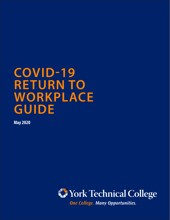# **COVID-19 RETURN TO WORKPLACE GUIDE**

**May 2020**



One College. Many Opportunities.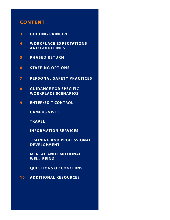### **CONTENT**

- **3 GUIDING PRINCIPLE**
- **4 WORKPLACE EXPEC TATIONS AND GUIDELINES**
- **5 PHASED RETURN**
- **6 STAFFING OPTIONS**
- **7 PERSONAL SAFETY PRACTICES**
- **8 GUIDANCE FOR SPECIFIC WORKPLACE SCENARIOS**
- **9 ENTER/EXIT CONTROL**

**CAMPUS VISITS**

**TRAVEL**

**INFORMATION SERVICES**

**TRAINING AND PROFESSIONAL DEVELOPMENT**

**MENTAL AND EMOTIONAL WELL-BEING**

**QUESTIONS OR CONCERNS**

**10 ADDITIONAL RESOURCES**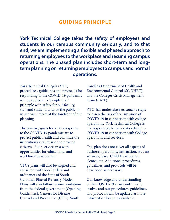### **GUIDING PRINCIPLE**

**York Technical College takes the safety of employees and students in our campus community seriously, and to that end, we are implementing a flexible and phased approach to returning employees to the workplace and resuming campus operations. The phased plan includes short-term and longterm planning on returning employees to campus and normal operations.**

York Technical College's (YTC) procedures, guidelines and protocols for responding to the COVID-19 pandemic will be rooted in a "people first" principle with safety for our faculty, staff and students and for the public in which we interact at the forefront of our planning.

The primary goals for YTC's response to the COVID-19 pandemic are to protect public health and continue the institution's vital mission to provide citizens of our service area with opportunities for educational and workforce development.

YTC's plans will also be aligned and consistent with local orders and ordinances of the State of South Carolina's Phased Re-entry Model. Plans will also follow recommendations from the federal government (Opening Guidelines), Centers for Disease Control and Prevention (CDC), South

Carolina Department of Health and Environmental Control (SC DHEC), and the College's Crisis Management Team (CMT).

YTC has undertaken reasonable steps to lessen the risk of transmission of COVID-19 in connection with college operations. York Technical College is not responsible for any risks related to COVID-19 in connection with College operations and services.

This plan does not cover all aspects of business operations, instruction, student services, leave, Child Development Center, etc. Additional procedures, guidelines, and protocols will be developed as necessary.

Our knowledge and understanding of the COVID-19 virus continues to evolve, and our procedures, guidelines, and protocols will be updated as more information becomes available.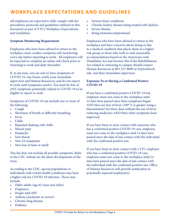### **WORKPLACE EXPECTATIONS AND GUIDELINES**

All employees are expected to fully comply with the procedures, protocols and guidelines outlined in this document as part of YTC's Workplace Expectations and Guidelines.

#### **Symptom Monitoring Requirement**

Employees who have been advised to return to the workplace must conduct symptom self-monitoring every day before reporting to work. All employees will be expected to complete an online self-check prior to returning to work and daily thereafter.

If, at any time, you are sick or have symptoms of COVID-19, stay home, notify your immediate supervisor and Human Resources, and do not report to work until symptoms resolve. You must be free of ANY symptoms potentially related to COVID-19 to be eligible to report to work.

Symptoms of COVID-19 can include one or more of the following:

- Cough
- Shortness of breath or difficulty breathing
- **Fever**
- Chills
- Repeated shaking with chills
- Muscle pain
- Headache
- Sore throat
- New GI symptoms
- New loss of taste or smell

This list does not include all possible symptoms. Refer to the CDC website for the latest developments of the virus.

According to the CDC, special populations or individuals with certain health conditions may have a higher risk for COVID-19 infection. Those may include:

- Older adults (age 65 years and older)
- Pregnancy
- People with HIV
- Asthma (moderate-to-severe)
- Chronic lung disease
- **Diabetes**
- Serious heart conditions
- Chronic kidney disease being treated with dialysis
- Severe obesity
- Being immunocompromised

Employees who have been advised to return to the workplace and have concerns about doing so due to a medical condition that places them in a higher risk group or those who wish to seek reasonable accommodations based on the Americans with Disabilities Act and Section 504 of the Rehabilitation Act related to returning to campus should contact Human Resources at 803-327-8009 or [hr@yorktech.](mailto:hr@yorktech.edu) [edu](mailto:hr@yorktech.edu) and their immediate supervisor.

#### **Exposure To or Having a Confirmed Positive COVID-19**

If you have a confirmed positive COVID-19 test, employee must not come to the workplace until 14 days have passed since their symptoms began AND they are free of fever (100° F or greater using a thermometer) for three days without the use of feverreducing medicines AND their other symptoms have improved.

If you have been in close contact with someone who has a confirmed positive COVID-19 case, employee must not come to the workplace until 14 days have passed since the date of last contact with the individual with the confirmed positive test.

If you have been in close contact with a YTC employee who has a confirmed positive COVID-19 case, employee must not come to the workplace until 14 days have passed since the date of last contact with the individual with the confirmed positive test. Office of Human Resources will provide notification to potentially exposed employee(s).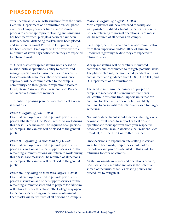### **PHASED RETURN**

York Technical College, with guidance from the South Carolina Department of Administration, will phase a return of employees over time in a coordinated process to ensure appropriate cleaning and sanitizing has been performed, plexiglass barriers have been installed, social distancing markers have been placed, and sufficient Personal Protective Equipment (PPE) has been secured. Employees will be provided with a minimum of seven days notice when they are expected to return to work.

YTC will assess workplace staffing needs based on mission-critical operations, ability to control and manage specific work environments, and necessity to access on-site resources. These decisions, once approved, will be communicated to the campus community and through your respective Associate Dean, Dean, Associate Vice President, Vice President, or Executive Committee member.

The tentative phasing plan for York Technical College is as follows:

#### *Phase I: Beginning June 1, 2020*

Essential employees needed to provide priority inperson labs starting June 15 will return to work during this phase. Face masks will be required of all persons on-campus. The campus will be closed to the general public.

#### *Phase II : Beginning no later than July 1, 2020*

Essential employees needed to provide priority inperson instruction and select support services for the remaining summer sessions will return to work during this phase. Face masks will be required of all persons on-campus. The campus will be closed to the general public.

#### *Phase III: Beginning no later than August 3, 2020*

Essential employees needed to provide priority inperson instruction and select support services for the remaining summer classes and to prepare for fall term will return to work this phase. The College may open to the public depending on the virus containment. Face masks will be required of all persons on-campus.

#### *Phase IV: Beginning August 24, 2020*

Most employees will have returned to workplace, with possible modified scheduling, dependent on the College returning to normal operations. Face masks will be required of all persons on-campus.

Each employee will receive an official communication from their supervisor and/or Office of Human Resources regarding the date they are expected to return to work.

Workplace staffing will be carefully monitored, controlled, and coordinated to mitigate potential risks. The phased plan may be modified dependent on virus containment and guidance from CDC, SC DHEC, and SC Department of Administration.

The need to minimize the number of people on campus to meet social distancing requirements will continue for some time. Support units that can continue to effectively work remotely will likely continue to do so until restrictions are eased for larger gatherings.

No unit or department should increase staffing levels beyond current needs to support critical on-site operations without approval from your respective Associate Dean, Dean, Associate Vice President, Vice President, or Executive Committee member.

Once decisions to expand on-site staffing in certain areas have been made, employees should follow the policies and protocols detailed in this guide for returning to work on campus.

As staffing on-site increases and operations expand, CMT will closely monitor and assess the potential spread of the virus, as well as existing policies and procedures to mitigate it.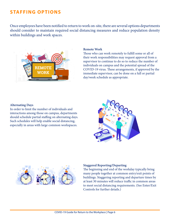### **STAFFING OPTIONS**

Once employees have been notified to return to work on-site, there are several options departments should consider to maintain required social distancing measures and reduce population density within buildings and work spaces.



#### **Remote Work**

Those who can work remotely to fulfill some or all of their work responsibilities may request approval from a supervisor to continue to do so to reduce the number of individuals on campus and the potential spread of the COVID-19 virus. These arrangements, if approved by the immediate supervisor, can be done on a full or partial day/week schedule as appropriate.

#### **Alternating Days**

In order to limit the number of individuals and interactions among those on campus, departments should schedule partial staffing on alternating days. Such schedules will help enable social distancing, especially in areas with large common workspaces.





#### **Staggered Reporting/Departing**

The beginning and end of the workday typically bring many people together at common entry/exit points of buildings. Staggering reporting and departure times by at least 30 minutes will reduce traffic in common areas to meet social distancing requirements. (See Enter/Exit Controls for further details.)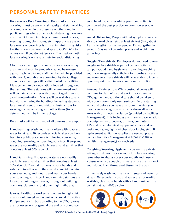# **PERSONAL SAFETY PRACTICES**

**Face masks / Face Coverings:** Face masks or face coverings must be worn by all faculty and staff working on campus when in the presence of others and in public settings where other social distancing measures are difficult to maintain (e.g., common work spaces, meeting rooms, classrooms, etc.). Appropriate use of face masks or coverings is critical in minimizing risks to others near you. You could spread COVID-19 to others even if you do not feel sick. The mask or cloth face covering is not a substitute for social distancing.

Cloth face coverings must only be worn for one day at a time and must be properly cleaned before use again. Each faculty and staff member will be provided with two (2) reusable face coverings by the College. These face coverings will be distributed by Facilities Management to pick up stations located throughout the campus. These stations will be unmanned and will contain a dispenser with pre-packaged masks to avoid contamination. Masks will be available to any individual entering the buildings including students, faculty/staff, vendors and visitors. Instructions for wearing the masks along with other items (to be determined) will be in the package.

Face masks will be required of all persons on-campus.

**Handwashing:** Wash your hands often with soap and water for at least 20 seconds especially after you have been in a public place, or after blowing your nose, coughing, sneezing, or touching your face. If soap and water are not readily available, use a hand sanitizer that contains at least 60% alcohol.

**Hand Sanitizing**: If soap and water are not readily available, use a hand sanitizer that contains at least 60% alcohol. Cover all surfaces of your hands and rub them together until they feel dry. Avoid touching your eyes, nose, and mouth, and wash your hands after touching your face. Hand sanitizing stations are located at building entrances, throughout building corridors, classrooms, and other high traffic areas.

**Gloves**: Healthcare workers and others in high- risk areas should use gloves as part of Personal Protective Equipment (PPE), but according to the CDC, gloves are not necessary for general use and do not replace

good hand hygiene. Washing your hands often is considered the best practice for common everyday tasks.

**Social Distancing:** People without symptoms may be able to spread virus. Stay at least six feet (6 ft., about 2 arms length) from other people. Do not gather in groups. Stay out of crowded places and avoid mass gatherings.

**Goggles/Face Shields:** Employees do not need to wear goggles or face shields as part of general activity on campus. Good hand hygiene and avoiding touching your face are generally sufficient for non-healthcare environments. Face shields will be available to faculty upon request to aid in safe classroom instruction.

**Personal Disinfection:** While custodial crews will continue to clean office and work spaces based on CDC guidelines, additional care should be taken to wipe down commonly used surfaces. Before starting work and before you leave any room in which you have been working, you must wipe down all work areas with disinfectant solution (provided by Facilities Management). This includes any shared-space location or equipment (e.g. copiers, printers, computers, A/V and other electrical equipment, coffee makers, desks and tables, light switches, door knobs, etc.). If replacement sanitation supplies are needed, please contact Facilities Management at 803-981-7282 or [facilitiesmanagement@yorktech.edu](mailto:facilitiesmanagement@yorktech.edu).

**Coughing/Sneezing Hygiene:** If you are in a private setting and do not have on your cloth face covering, remember to always cover your mouth and nose with a tissue when you cough or sneeze or use the inside of your elbow. Then throw used tissues in the trash.

Immediately wash your hands with soap and water for at least 20 seconds. If soap and water are not readily available, clean your hands with a hand sanitizer that contains at least 60% alcohol.

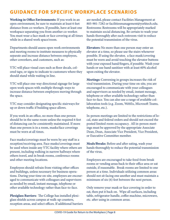## **GUIDANCE FOR SPECIFIC WORKPLACE SCENARIOS**

**Working in Office Environments:** If you work in an open environment, be sure to maintain at least 6 feet distance from co-workers. If possible, have at least one workspace separating you from another co-worker. You must wear a face mask or face covering at all times while in a shared work space/room.

Departments should assess open work environments and meeting rooms to institute measures to physically separate and increase distance between employees, other coworkers, and customers, such as:

YTC will place visual cues such as floor decals, colored tape, or signs to indicate to customers where they should stand while waiting in line.

YTC will place one-way directional signage for large open work spaces with multiple through-ways to increase distance between employees moving through the space.

YTC may consider designating specific stairways for up or down traffic if building space allows.

If you work in an office, no more than one person should be in the same room unless the required 6 feet of distancing can be consistently maintained. If more than one person is in a room, masks/face coverings must be worn at all times.

Face masks/coverings must be worn by any staff in a reception/receiving area. Face masks/coverings must be used when inside any YTC facility where others are present, including walking in narrow hallways where others travel, and in break rooms, conference rooms and other meeting locations.

Employees should refrain from visiting other offices and buildings, unless necessary for business operations. During your time on-site, employees are encouraged to communicate with colleagues and supervisors as needed by email, instant message, telephone or other available technology rather than face-to-face.

**Plexiglass Barriers:** The College has installed plexiglass shields across campus at walk-up counters, reception areas, and select offices. If additional barriers are needed, please contact Facilities Management at 803-981-7282 or [facilitiesmanagement@yorktech.edu](mailto:facilitiesmanagement@yorktech.edu). Restrooms: Restrooms will be appropriately marked to maintain social distancing. Be certain to wash your hands thoroughly after each restroom visit to reduce the potential transmission of the virus.

**Elevators:** No more than one person may enter an elevator at a time, so please use the stairs whenever possible. If using the elevator, a face mask/covering must be worn and avoid touching the elevator buttons with your exposed hand/fingers, if possible. Wash your hands or use hand sanitizer with at least 60% alcohol upon exiting the elevator.

**Meetings:** Convening in groups increases the risk of viral transmission. During your time on-site, you are encouraged to communicate with your colleagues and supervisors as needed by email, instant message, telephone or other available technology rather than face-to-face. You can also use a range of available collaboration tools (e.g. Zoom, WebEx, Microsoft Teams, telephone, etc.).

In-person meetings are limited to the restrictions of local, state and federal orders and should not exceed the posted limited room occupancy. All in-person meetings must be approved by the appropriate Associate Dean, Dean, Associate Vice President, Vice President, or Executive Committee member.

**Meals/Breaks:** Before and after eating, wash your hands thoroughly to reduce the potential transmission of the virus.

Employees are encouraged to take food from break rooms or vending areas back to their office area or eat outside, if reasonable. Break rooms are limited to one person at a time. Individuals utilizing common areas should not sit facing one another and must maintain a minimum of six (6) feet between the next person.

Only remove your mask or face covering in order to eat, then put it back on. Wipe all surfaces, including table, refrigerator handle, coffee machine, microwave, etc. after using in common areas.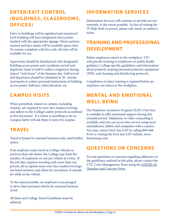# **ENTER/EXIT CONTROL (BUILDINGS, CLASSROOMS, OFFICES)**

Entry to buildings will be regulated and monitored. Each building will have designated entry points, marked with the appropriate signage. Hand sanitizer stations and face masks will be available upon entry. To remain compliant with fire code, all exits will be available for use.

Supervisors should be familiarized with designated building access points and coordinate arrival and departure times of staff to reduce congestion during typical "rush hours" of the business day. Staff arrival and departures should be scheduled in 30- minute increments to reduce personal interactions at building access points, hallways, stairs/elevators, etc.

### **CAMPUS VISITS**

When permitted, visitors to campus, including vendors, are required to wear face masks/coverings and adhere to the College's safety protocols as outlined in this document. If a visitor is unwilling to do so, Campus Safety will ask them to leave the campus.

### **TRAVEL**

Travel is limited to essential business only, until further notice.

If an employee must travel in College vehicles to perform their job duties, the College may limit the number of employees to one per vehicle at a time. If the job duty requires traveling with more than one person, all occupants must wear face masks/coverings, use hand sanitizer, and allow for circulation of outside air while in the vehicle.

To the extent possible, an employee is encouraged to drive their personal vehicle for essential business travel.

All State and College Travel Guidelines must be adhered.

# **INFORMATION SERVICES**

Information Services will continue to provide service remotely, to the extent possible. In lieu of visiting the IT Help Desk in person, please call, email, or submit a ticket.

## **TRAINING AND PROFESSIONAL DEVELOPMENT**

Before employees return to the workplace, YTC will provide training to employees on public health guidance, College specific guidelines, and information about properly wearing personal protective equipment (PPE), and cleaning and disinfecting protocols.

Completion of select training is required before an employee can return to the workplace.

## **MENTAL AND EMOTIONAL WELL-BEING**

The Employee Assistance Program (EAP), First Sun, is available to offer emotional support during this stressful period. Telephonic or video counseling is available, and you can access this service using most smartphones, tablets and computers with a camera. You may contact First Sun EAP by calling 800-968- 8143 or visiting the First Sun EAP website, [www.](http://www.firstsuneap.com) [firstsuneap.com.](http://www.firstsuneap.com)

## **QUESTIONS OR CONCERNS**

For any questions or concerns regarding adherence to the guidelines outlined in this plan, please contact the YTC Crisis Management Team using the COVID-19 [Question and Concern Form.](https://yorktech.info/COVID19Form)